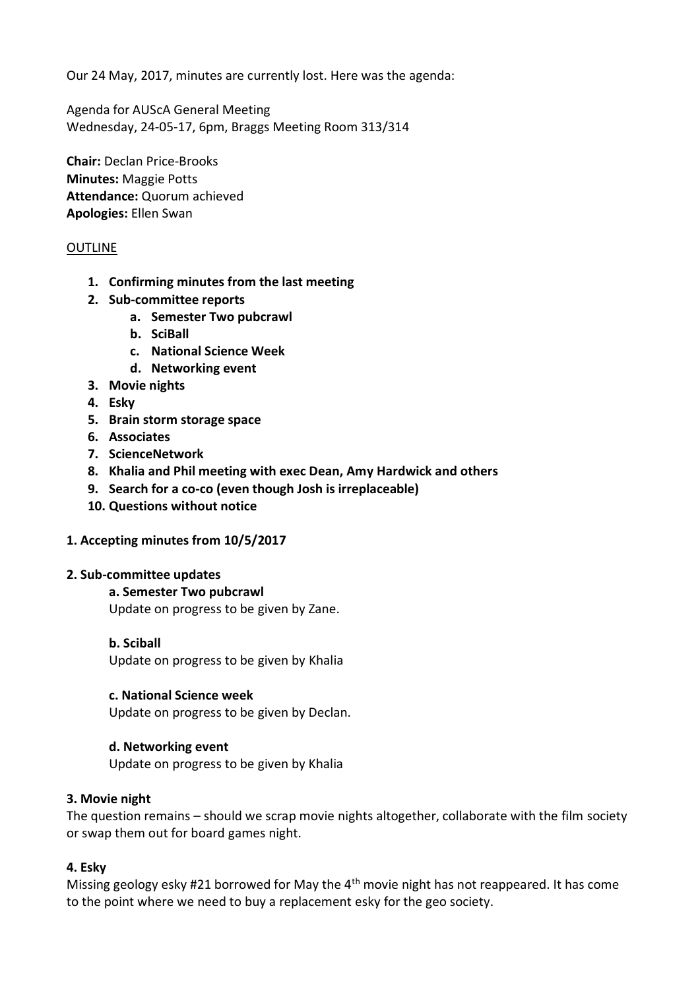Our 24 May, 2017, minutes are currently lost. Here was the agenda:

Agenda for AUScA General Meeting Wednesday, 24-05-17, 6pm, Braggs Meeting Room 313/314

**Chair:** Declan Price-Brooks **Minutes:** Maggie Potts **Attendance:** Quorum achieved **Apologies:** Ellen Swan

### **OUTLINE**

- **1. Confirming minutes from the last meeting**
- **2. Sub-committee reports**
	- **a. Semester Two pubcrawl**
	- **b. SciBall**
	- **c. National Science Week**
	- **d. Networking event**
- **3. Movie nights**
- **4. Esky**
- **5. Brain storm storage space**
- **6. Associates**
- **7. ScienceNetwork**
- **8. Khalia and Phil meeting with exec Dean, Amy Hardwick and others**
- **9. Search for a co-co (even though Josh is irreplaceable)**
- **10. Questions without notice**

### **1. Accepting minutes from 10/5/2017**

### **2. Sub-committee updates**

**a. Semester Two pubcrawl** Update on progress to be given by Zane.

#### **b. Sciball**

Update on progress to be given by Khalia

### **c. National Science week**

Update on progress to be given by Declan.

### **d. Networking event**

Update on progress to be given by Khalia

### **3. Movie night**

The question remains – should we scrap movie nights altogether, collaborate with the film society or swap them out for board games night.

### **4. Esky**

Missing geology esky #21 borrowed for May the  $4<sup>th</sup>$  movie night has not reappeared. It has come to the point where we need to buy a replacement esky for the geo society.